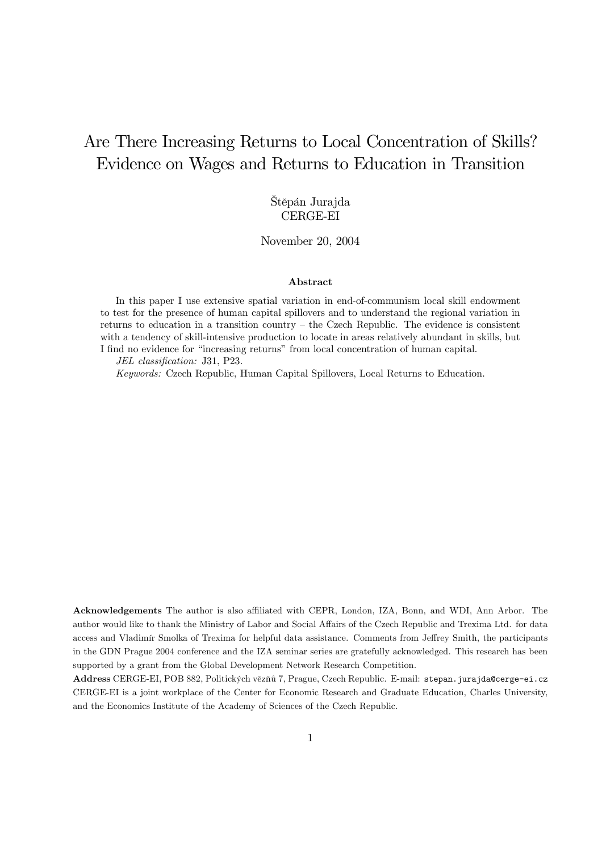# Are There Increasing Returns to Local Concentration of Skills? Evidence on Wages and Returns to Education in Transition

### Štěpán Jurajda CERGE-EI

November 20, 2004

#### Abstract

In this paper I use extensive spatial variation in end-of-communism local skill endowment to test for the presence of human capital spillovers and to understand the regional variation in returns to education in a transition country — the Czech Republic. The evidence is consistent with a tendency of skill-intensive production to locate in areas relatively abundant in skills, but I find no evidence for "increasing returns" from local concentration of human capital.

JEL classification: J31, P23.

Keywords: Czech Republic, Human Capital Spillovers, Local Returns to Education.

Acknowledgements The author is also affiliated with CEPR, London, IZA, Bonn, and WDI, Ann Arbor. The author would like to thank the Ministry of Labor and Social Affairs of the Czech Republic and Trexima Ltd. for data access and Vladimír Smolka of Trexima for helpful data assistance. Comments from Jeffrey Smith, the participants in the GDN Prague 2004 conference and the IZA seminar series are gratefully acknowledged. This research has been supported by a grant from the Global Development Network Research Competition.

Address CERGE-EI, POB 882, Politických věznů 7, Prague, Czech Republic. E-mail: stepan.jurajda@cerge-ei.cz CERGE-EI is a joint workplace of the Center for Economic Research and Graduate Education, Charles University, and the Economics Institute of the Academy of Sciences of the Czech Republic.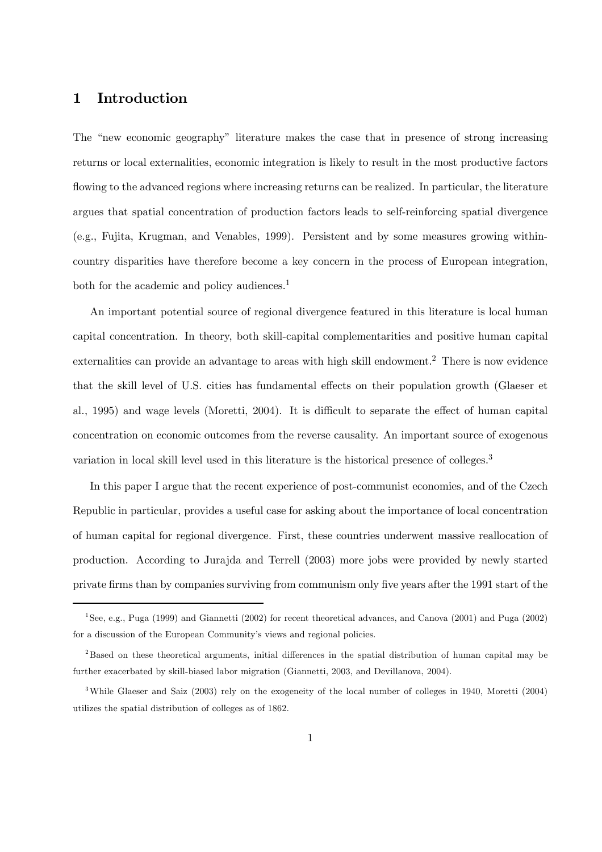# 1 Introduction

The "new economic geography" literature makes the case that in presence of strong increasing returns or local externalities, economic integration is likely to result in the most productive factors flowing to the advanced regions where increasing returns can be realized. In particular, the literature argues that spatial concentration of production factors leads to self-reinforcing spatial divergence (e.g., Fujita, Krugman, and Venables, 1999). Persistent and by some measures growing withincountry disparities have therefore become a key concern in the process of European integration, both for the academic and policy audiences.<sup>1</sup>

An important potential source of regional divergence featured in this literature is local human capital concentration. In theory, both skill-capital complementarities and positive human capital externalities can provide an advantage to areas with high skill endowment.<sup>2</sup> There is now evidence that the skill level of U.S. cities has fundamental effects on their population growth (Glaeser et al., 1995) and wage levels (Moretti, 2004). It is difficult to separate the effect of human capital concentration on economic outcomes from the reverse causality. An important source of exogenous variation in local skill level used in this literature is the historical presence of colleges.<sup>3</sup>

In this paper I argue that the recent experience of post-communist economies, and of the Czech Republic in particular, provides a useful case for asking about the importance of local concentration of human capital for regional divergence. First, these countries underwent massive reallocation of production. According to Jurajda and Terrell (2003) more jobs were provided by newly started private firms than by companies surviving from communism only five years after the 1991 start of the

<sup>1</sup>See, e.g., Puga (1999) and Giannetti (2002) for recent theoretical advances, and Canova (2001) and Puga (2002) for a discussion of the European Community's views and regional policies.

<sup>&</sup>lt;sup>2</sup>Based on these theoretical arguments, initial differences in the spatial distribution of human capital may be further exacerbated by skill-biased labor migration (Giannetti, 2003, and Devillanova, 2004).

<sup>3</sup>While Glaeser and Saiz (2003) rely on the exogeneity of the local number of colleges in 1940, Moretti (2004) utilizes the spatial distribution of colleges as of 1862.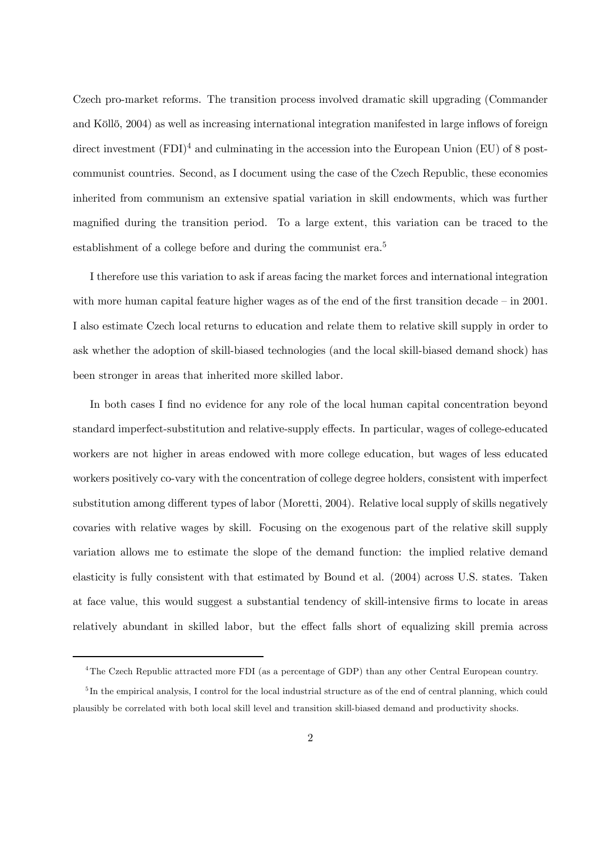Czech pro-market reforms. The transition process involved dramatic skill upgrading (Commander and Köllő, 2004) as well as increasing international integration manifested in large inflows of foreign direct investment  $(FDI)^4$  and culminating in the accession into the European Union (EU) of 8 postcommunist countries. Second, as I document using the case of the Czech Republic, these economies inherited from communism an extensive spatial variation in skill endowments, which was further magnified during the transition period. To a large extent, this variation can be traced to the establishment of a college before and during the communist era.<sup>5</sup>

I therefore use this variation to ask if areas facing the market forces and international integration with more human capital feature higher wages as of the end of the first transition decade – in 2001. I also estimate Czech local returns to education and relate them to relative skill supply in order to ask whether the adoption of skill-biased technologies (and the local skill-biased demand shock) has been stronger in areas that inherited more skilled labor.

In both cases I find no evidence for any role of the local human capital concentration beyond standard imperfect-substitution and relative-supply effects. In particular, wages of college-educated workers are not higher in areas endowed with more college education, but wages of less educated workers positively co-vary with the concentration of college degree holders, consistent with imperfect substitution among different types of labor (Moretti, 2004). Relative local supply of skills negatively covaries with relative wages by skill. Focusing on the exogenous part of the relative skill supply variation allows me to estimate the slope of the demand function: the implied relative demand elasticity is fully consistent with that estimated by Bound et al. (2004) across U.S. states. Taken at face value, this would suggest a substantial tendency of skill-intensive firms to locate in areas relatively abundant in skilled labor, but the effect falls short of equalizing skill premia across

<sup>4</sup>The Czech Republic attracted more FDI (as a percentage of GDP) than any other Central European country.

 $5$ In the empirical analysis, I control for the local industrial structure as of the end of central planning, which could plausibly be correlated with both local skill level and transition skill-biased demand and productivity shocks.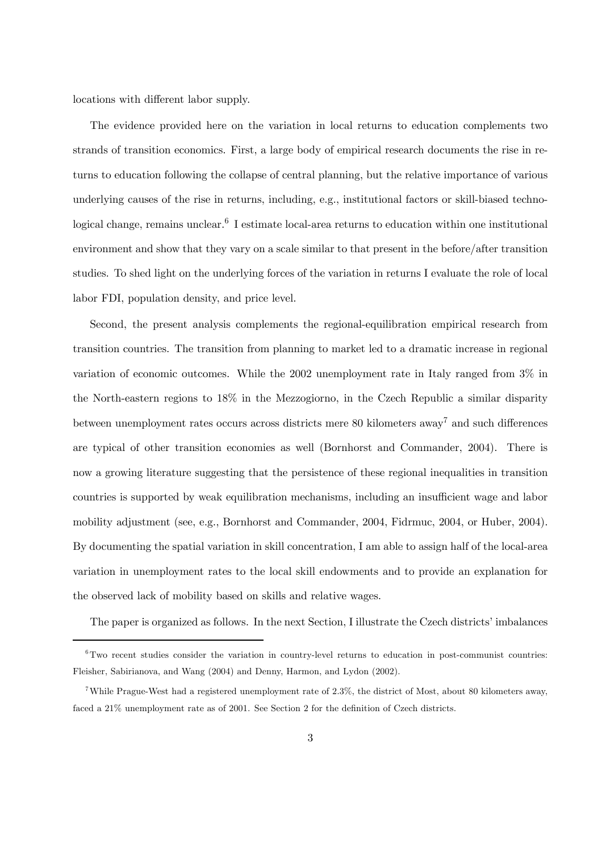locations with different labor supply.

The evidence provided here on the variation in local returns to education complements two strands of transition economics. First, a large body of empirical research documents the rise in returns to education following the collapse of central planning, but the relative importance of various underlying causes of the rise in returns, including, e.g., institutional factors or skill-biased technological change, remains unclear.<sup>6</sup> I estimate local-area returns to education within one institutional environment and show that they vary on a scale similar to that present in the before/after transition studies. To shed light on the underlying forces of the variation in returns I evaluate the role of local labor FDI, population density, and price level.

Second, the present analysis complements the regional-equilibration empirical research from transition countries. The transition from planning to market led to a dramatic increase in regional variation of economic outcomes. While the 2002 unemployment rate in Italy ranged from 3% in the North-eastern regions to 18% in the Mezzogiorno, in the Czech Republic a similar disparity between unemployment rates occurs across districts mere  $80$  kilometers away<sup>7</sup> and such differences are typical of other transition economies as well (Bornhorst and Commander, 2004). There is now a growing literature suggesting that the persistence of these regional inequalities in transition countries is supported by weak equilibration mechanisms, including an insufficient wage and labor mobility adjustment (see, e.g., Bornhorst and Commander, 2004, Fidrmuc, 2004, or Huber, 2004). By documenting the spatial variation in skill concentration, I am able to assign half of the local-area variation in unemployment rates to the local skill endowments and to provide an explanation for the observed lack of mobility based on skills and relative wages.

The paper is organized as follows. In the next Section, I illustrate the Czech districts' imbalances

<sup>6</sup>Two recent studies consider the variation in country-level returns to education in post-communist countries: Fleisher, Sabirianova, and Wang (2004) and Denny, Harmon, and Lydon (2002).

<sup>7</sup>While Prague-West had a registered unemployment rate of 2.3%, the district of Most, about 80 kilometers away, faced a 21% unemployment rate as of 2001. See Section 2 for the definition of Czech districts.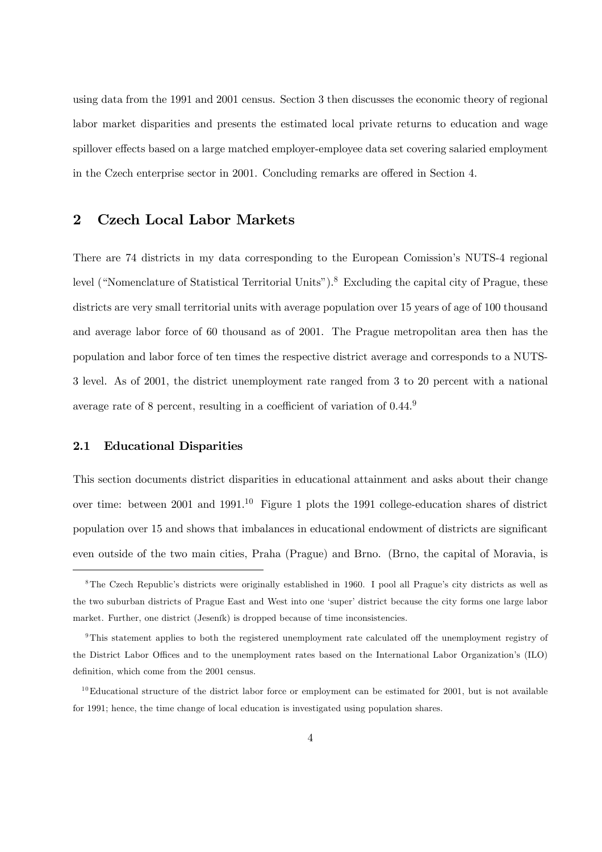using data from the 1991 and 2001 census. Section 3 then discusses the economic theory of regional labor market disparities and presents the estimated local private returns to education and wage spillover effects based on a large matched employer-employee data set covering salaried employment in the Czech enterprise sector in 2001. Concluding remarks are offered in Section 4.

# 2 Czech Local Labor Markets

There are 74 districts in my data corresponding to the European Comission's NUTS-4 regional level ("Nomenclature of Statistical Territorial Units").8 Excluding the capital city of Prague, these districts are very small territorial units with average population over 15 years of age of 100 thousand and average labor force of 60 thousand as of 2001. The Prague metropolitan area then has the population and labor force of ten times the respective district average and corresponds to a NUTS-3 level. As of 2001, the district unemployment rate ranged from 3 to 20 percent with a national average rate of 8 percent, resulting in a coefficient of variation of 0.44.9

### 2.1 Educational Disparities

This section documents district disparities in educational attainment and asks about their change over time: between 2001 and 1991.10 Figure 1 plots the 1991 college-education shares of district population over 15 and shows that imbalances in educational endowment of districts are significant even outside of the two main cities, Praha (Prague) and Brno. (Brno, the capital of Moravia, is

<sup>8</sup>The Czech Republic's districts were originally established in 1960. I pool all Prague's city districts as well as the two suburban districts of Prague East and West into one 'super' district because the city forms one large labor market. Further, one district (Jeseník) is dropped because of time inconsistencies.

<sup>9</sup>This statement applies to both the registered unemployment rate calculated off the unemployment registry of the District Labor Offices and to the unemployment rates based on the International Labor Organization's (ILO) definition, which come from the 2001 census.

 $10$ Educational structure of the district labor force or employment can be estimated for 2001, but is not available for 1991; hence, the time change of local education is investigated using population shares.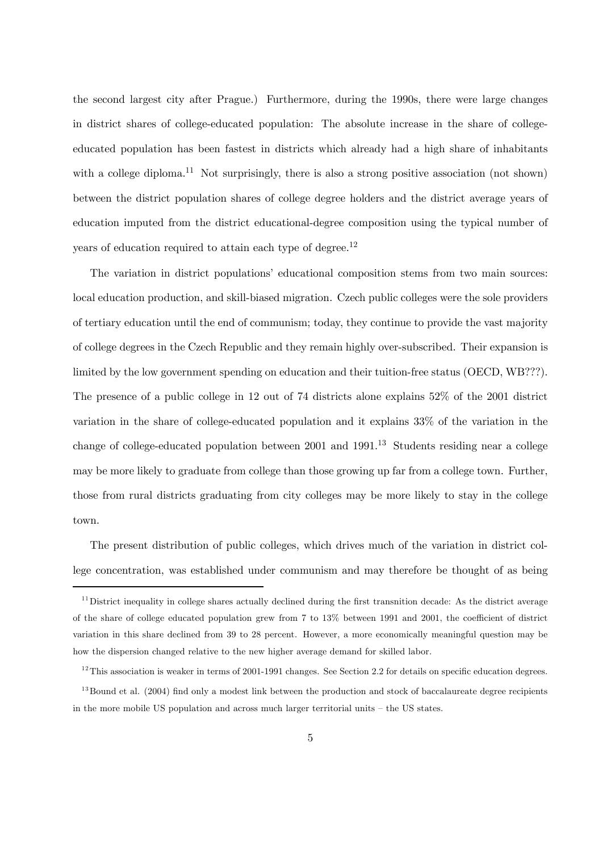the second largest city after Prague.) Furthermore, during the 1990s, there were large changes in district shares of college-educated population: The absolute increase in the share of collegeeducated population has been fastest in districts which already had a high share of inhabitants with a college diploma.<sup>11</sup> Not surprisingly, there is also a strong positive association (not shown) between the district population shares of college degree holders and the district average years of education imputed from the district educational-degree composition using the typical number of years of education required to attain each type of degree.<sup>12</sup>

The variation in district populations' educational composition stems from two main sources: local education production, and skill-biased migration. Czech public colleges were the sole providers of tertiary education until the end of communism; today, they continue to provide the vast majority of college degrees in the Czech Republic and they remain highly over-subscribed. Their expansion is limited by the low government spending on education and their tuition-free status (OECD, WB???). The presence of a public college in 12 out of 74 districts alone explains 52% of the 2001 district variation in the share of college-educated population and it explains 33% of the variation in the change of college-educated population between  $2001$  and  $1991<sup>13</sup>$  Students residing near a college may be more likely to graduate from college than those growing up far from a college town. Further, those from rural districts graduating from city colleges may be more likely to stay in the college town.

The present distribution of public colleges, which drives much of the variation in district college concentration, was established under communism and may therefore be thought of as being

 $11$  District inequality in college shares actually declined during the first transnition decade: As the district average of the share of college educated population grew from 7 to 13% between 1991 and 2001, the coefficient of district variation in this share declined from 39 to 28 percent. However, a more economically meaningful question may be how the dispersion changed relative to the new higher average demand for skilled labor.

<sup>&</sup>lt;sup>12</sup>This association is weaker in terms of 2001-1991 changes. See Section 2.2 for details on specific education degrees.

 $13$ Bound et al. (2004) find only a modest link between the production and stock of baccalaureate degree recipients in the more mobile US population and across much larger territorial units — the US states.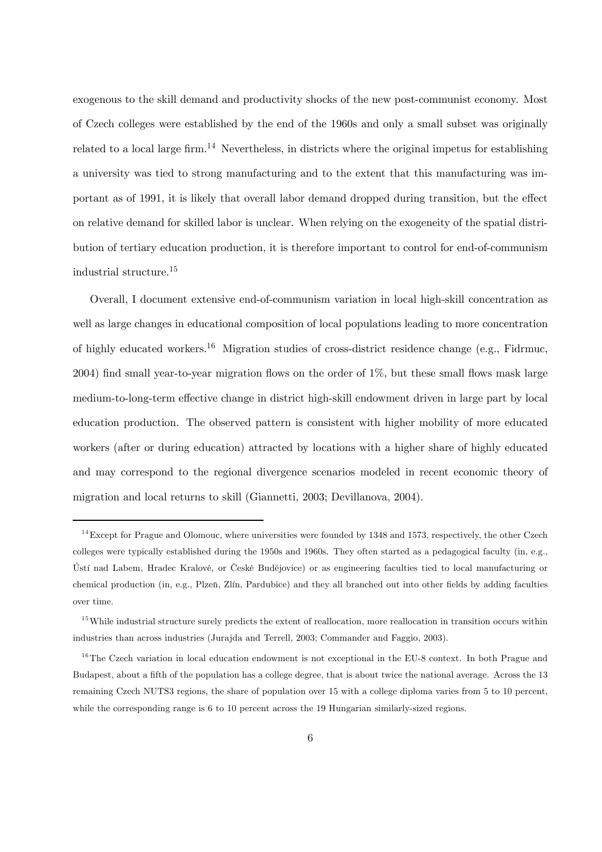exogenous to the skill demand and productivity shocks of the new post-communist economy. Most of Czech colleges were established by the end of the 1960s and only a small subset was originally related to a local large firm.<sup>14</sup> Nevertheless, in districts where the original impetus for establishing a university was tied to strong manufacturing and to the extent that this manufacturing was important as of 1991, it is likely that overall labor demand dropped during transition, but the effect on relative demand for skilled labor is unclear. When relying on the exogeneity of the spatial distribution of tertiary education production, it is therefore important to control for end-of-communism industrial structure.15

Overall, I document extensive end-of-communism variation in local high-skill concentration as well as large changes in educational composition of local populations leading to more concentration of highly educated workers.<sup>16</sup> Migration studies of cross-district residence change (e.g., Fidrmuc, 2004) find small year-to-year migration flows on the order of 1%, but these small flows mask large medium-to-long-term effective change in district high-skill endowment driven in large part by local education production. The observed pattern is consistent with higher mobility of more educated workers (after or during education) attracted by locations with a higher share of highly educated and may correspond to the regional divergence scenarios modeled in recent economic theory of migration and local returns to skill (Giannetti, 2003; Devillanova, 2004).

 $14$  Except for Prague and Olomouc, where universities were founded by 1348 and 1573, respectively, the other Czech colleges were typically established during the 1950s and 1960s. They often started as a pedagogical faculty (in, e.g., Ústí nad Labem, Hradec Kralové, or České Budějovice) or as engineering faculties tied to local manufacturing or chemical production (in, e.g., Plzen, Zlín, Pardubice) and they all branched out into other fields by adding faculties over time.

 $15$  While industrial structure surely predicts the extent of reallocation, more reallocation in transition occurs within industries than across industries (Jurajda and Terrell, 2003; Commander and Faggio, 2003).

 $16$ The Czech variation in local education endowment is not exceptional in the EU-8 context. In both Prague and Budapest, about a fifth of the population has a college degree, that is about twice the national average. Across the 13 remaining Czech NUTS3 regions, the share of population over 15 with a college diploma varies from 5 to 10 percent, while the corresponding range is 6 to 10 percent across the 19 Hungarian similarly-sized regions.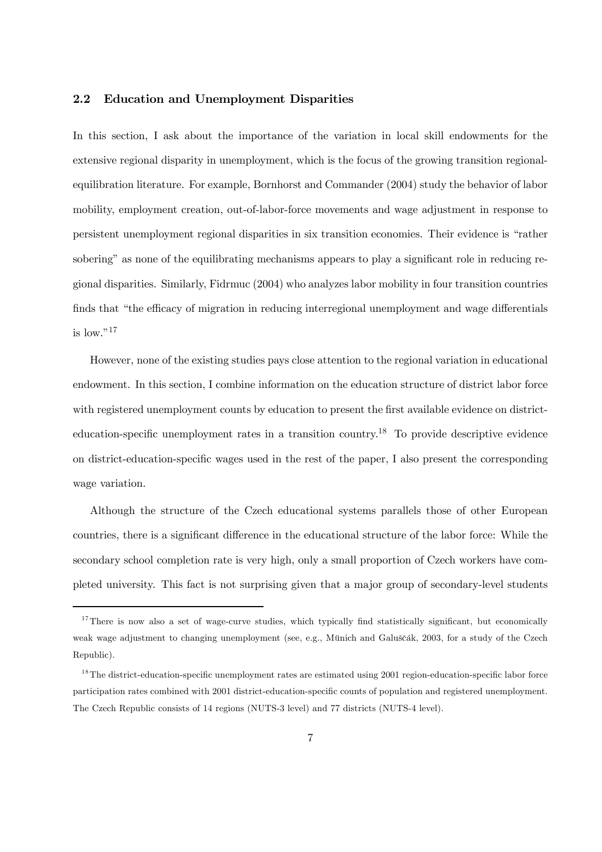### 2.2 Education and Unemployment Disparities

In this section, I ask about the importance of the variation in local skill endowments for the extensive regional disparity in unemployment, which is the focus of the growing transition regionalequilibration literature. For example, Bornhorst and Commander (2004) study the behavior of labor mobility, employment creation, out-of-labor-force movements and wage adjustment in response to persistent unemployment regional disparities in six transition economies. Their evidence is "rather sobering" as none of the equilibrating mechanisms appears to play a significant role in reducing regional disparities. Similarly, Fidrmuc (2004) who analyzes labor mobility in four transition countries finds that "the efficacy of migration in reducing interregional unemployment and wage differentials is low." $17$ 

However, none of the existing studies pays close attention to the regional variation in educational endowment. In this section, I combine information on the education structure of district labor force with registered unemployment counts by education to present the first available evidence on districteducation-specific unemployment rates in a transition country.<sup>18</sup> To provide descriptive evidence on district-education-specific wages used in the rest of the paper, I also present the corresponding wage variation.

Although the structure of the Czech educational systems parallels those of other European countries, there is a significant difference in the educational structure of the labor force: While the secondary school completion rate is very high, only a small proportion of Czech workers have completed university. This fact is not surprising given that a major group of secondary-level students

 $17$ There is now also a set of wage-curve studies, which typically find statistically significant, but economically weak wage adjustment to changing unemployment (see, e.g., Münich and Galuščák, 2003, for a study of the Czech Republic).

 $18$ The district-education-specific unemployment rates are estimated using 2001 region-education-specific labor force participation rates combined with 2001 district-education-specific counts of population and registered unemployment. The Czech Republic consists of 14 regions (NUTS-3 level) and 77 districts (NUTS-4 level).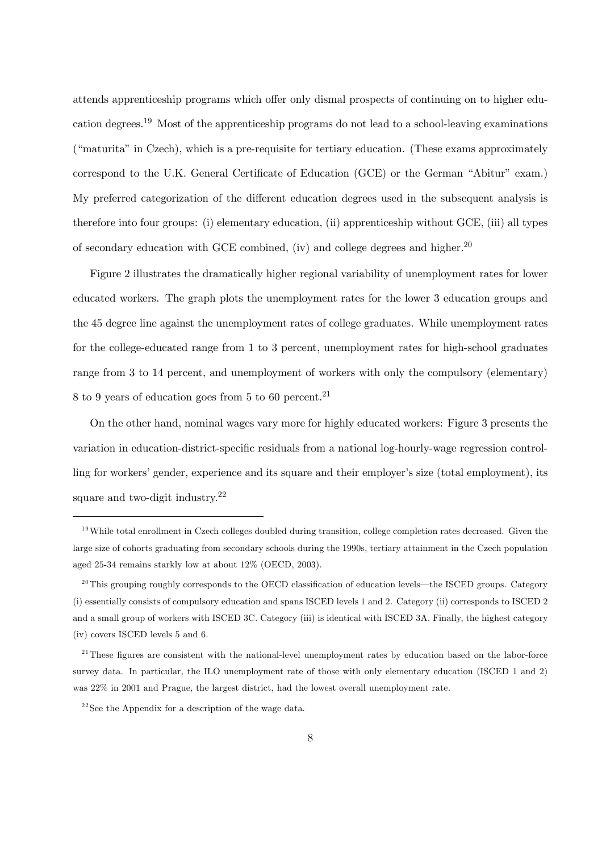attends apprenticeship programs which offer only dismal prospects of continuing on to higher education degrees.19 Most of the apprenticeship programs do not lead to a school-leaving examinations ("maturita" in Czech), which is a pre-requisite for tertiary education. (These exams approximately correspond to the U.K. General Certificate of Education (GCE) or the German "Abitur" exam.) My preferred categorization of the different education degrees used in the subsequent analysis is therefore into four groups: (i) elementary education, (ii) apprenticeship without GCE, (iii) all types of secondary education with GCE combined, (iv) and college degrees and higher.<sup>20</sup>

Figure 2 illustrates the dramatically higher regional variability of unemployment rates for lower educated workers. The graph plots the unemployment rates for the lower 3 education groups and the 45 degree line against the unemployment rates of college graduates. While unemployment rates for the college-educated range from 1 to 3 percent, unemployment rates for high-school graduates range from 3 to 14 percent, and unemployment of workers with only the compulsory (elementary)  $8 \text{ to } 9$  years of education goes from 5 to 60 percent.<sup>21</sup>

On the other hand, nominal wages vary more for highly educated workers: Figure 3 presents the variation in education-district-specific residuals from a national log-hourly-wage regression controlling for workers' gender, experience and its square and their employer's size (total employment), its square and two-digit industry.22

 $19$ While total enrollment in Czech colleges doubled during transition, college completion rates decreased. Given the large size of cohorts graduating from secondary schools during the 1990s, tertiary attainment in the Czech population aged 25-34 remains starkly low at about 12% (OECD, 2003).

 $^{20}$ This grouping roughly corresponds to the OECD classification of education levels—the ISCED groups. Category (i) essentially consists of compulsory education and spans ISCED levels 1 and 2. Category (ii) corresponds to ISCED 2 and a small group of workers with ISCED 3C. Category (iii) is identical with ISCED 3A. Finally, the highest category (iv) covers ISCED levels 5 and 6.

 $2<sup>11</sup>$ These figures are consistent with the national-level unemployment rates by education based on the labor-force survey data. In particular, the ILO unemployment rate of those with only elementary education (ISCED 1 and 2) was 22% in 2001 and Prague, the largest district, had the lowest overall unemployment rate.

 $2^{22}$ See the Appendix for a description of the wage data.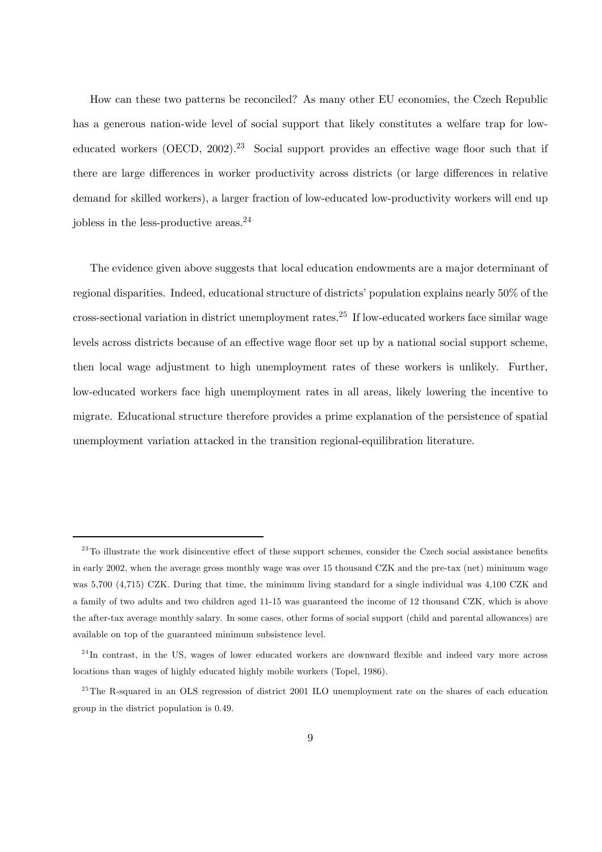How can these two patterns be reconciled? As many other EU economies, the Czech Republic has a generous nation-wide level of social support that likely constitutes a welfare trap for loweducated workers (OECD,  $2002$ ).<sup>23</sup> Social support provides an effective wage floor such that if there are large differences in worker productivity across districts (or large differences in relative demand for skilled workers), a larger fraction of low-educated low-productivity workers will end up jobless in the less-productive areas.24

The evidence given above suggests that local education endowments are a major determinant of regional disparities. Indeed, educational structure of districts' population explains nearly 50% of the cross-sectional variation in district unemployment rates.<sup>25</sup> If low-educated workers face similar wage levels across districts because of an effective wage floor set up by a national social support scheme, then local wage adjustment to high unemployment rates of these workers is unlikely. Further, low-educated workers face high unemployment rates in all areas, likely lowering the incentive to migrate. Educational structure therefore provides a prime explanation of the persistence of spatial unemployment variation attacked in the transition regional-equilibration literature.

<sup>&</sup>lt;sup>23</sup>To illustrate the work disincentive effect of these support schemes, consider the Czech social assistance benefits in early 2002, when the average gross monthly wage was over 15 thousand CZK and the pre-tax (net) minimum wage was 5,700 (4,715) CZK. During that time, the minimum living standard for a single individual was 4,100 CZK and a family of two adults and two children aged 11-15 was guaranteed the income of 12 thousand CZK, which is above the after-tax average monthly salary. In some cases, other forms of social support (child and parental allowances) are available on top of the guaranteed minimum subsistence level.

<sup>&</sup>lt;sup>24</sup>In contrast, in the US, wages of lower educated workers are downward flexible and indeed vary more across locations than wages of highly educated highly mobile workers (Topel, 1986).

<sup>&</sup>lt;sup>25</sup>The R-squared in an OLS regression of district 2001 ILO unemployment rate on the shares of each education group in the district population is 0.49.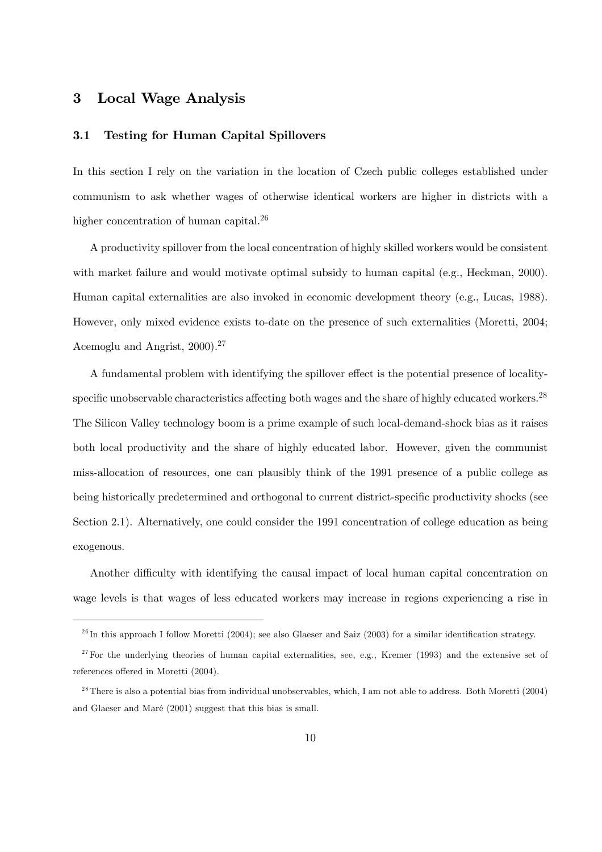# 3 Local Wage Analysis

### 3.1 Testing for Human Capital Spillovers

In this section I rely on the variation in the location of Czech public colleges established under communism to ask whether wages of otherwise identical workers are higher in districts with a higher concentration of human capital.<sup>26</sup>

A productivity spillover from the local concentration of highly skilled workers would be consistent with market failure and would motivate optimal subsidy to human capital (e.g., Heckman, 2000). Human capital externalities are also invoked in economic development theory (e.g., Lucas, 1988). However, only mixed evidence exists to-date on the presence of such externalities (Moretti, 2004; Acemoglu and Angrist, 2000).27

A fundamental problem with identifying the spillover effect is the potential presence of localityspecific unobservable characteristics affecting both wages and the share of highly educated workers.<sup>28</sup> The Silicon Valley technology boom is a prime example of such local-demand-shock bias as it raises both local productivity and the share of highly educated labor. However, given the communist miss-allocation of resources, one can plausibly think of the 1991 presence of a public college as being historically predetermined and orthogonal to current district-specific productivity shocks (see Section 2.1). Alternatively, one could consider the 1991 concentration of college education as being exogenous.

Another difficulty with identifying the causal impact of local human capital concentration on wage levels is that wages of less educated workers may increase in regions experiencing a rise in

 $^{26}$ In this approach I follow Moretti (2004); see also Glaeser and Saiz (2003) for a similar identification strategy.

 $27$  For the underlying theories of human capital externalities, see, e.g., Kremer (1993) and the extensive set of references offered in Moretti (2004).

 $^{28}$  There is also a potential bias from individual unobservables, which, I am not able to address. Both Moretti (2004) and Glaeser and Maré (2001) suggest that this bias is small.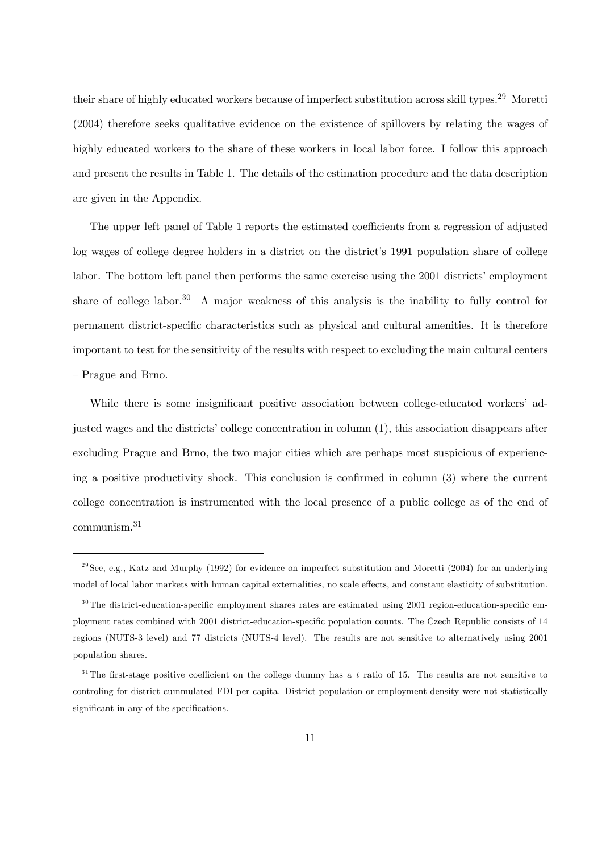their share of highly educated workers because of imperfect substitution across skill types.<sup>29</sup> Moretti (2004) therefore seeks qualitative evidence on the existence of spillovers by relating the wages of highly educated workers to the share of these workers in local labor force. I follow this approach and present the results in Table 1. The details of the estimation procedure and the data description are given in the Appendix.

The upper left panel of Table 1 reports the estimated coefficients from a regression of adjusted log wages of college degree holders in a district on the district's 1991 population share of college labor. The bottom left panel then performs the same exercise using the 2001 districts' employment share of college labor.<sup>30</sup> A major weakness of this analysis is the inability to fully control for permanent district-specific characteristics such as physical and cultural amenities. It is therefore important to test for the sensitivity of the results with respect to excluding the main cultural centers — Prague and Brno.

While there is some insignificant positive association between college-educated workers' adjusted wages and the districts' college concentration in column (1), this association disappears after excluding Prague and Brno, the two major cities which are perhaps most suspicious of experiencing a positive productivity shock. This conclusion is confirmed in column (3) where the current college concentration is instrumented with the local presence of a public college as of the end of communism.<sup>31</sup>

 $^{29}$ See, e.g., Katz and Murphy (1992) for evidence on imperfect substitution and Moretti (2004) for an underlying model of local labor markets with human capital externalities, no scale effects, and constant elasticity of substitution.

 $30$ The district-education-specific employment shares rates are estimated using 2001 region-education-specific employment rates combined with 2001 district-education-specific population counts. The Czech Republic consists of 14 regions (NUTS-3 level) and 77 districts (NUTS-4 level). The results are not sensitive to alternatively using 2001 population shares.

 $31$ The first-stage positive coefficient on the college dummy has a t ratio of 15. The results are not sensitive to controling for district cummulated FDI per capita. District population or employment density were not statistically significant in any of the specifications.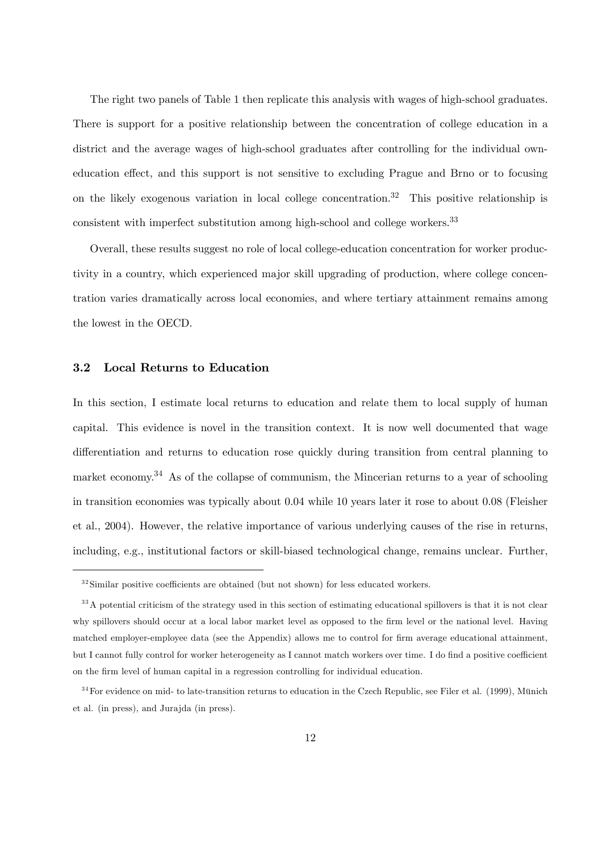The right two panels of Table 1 then replicate this analysis with wages of high-school graduates. There is support for a positive relationship between the concentration of college education in a district and the average wages of high-school graduates after controlling for the individual owneducation effect, and this support is not sensitive to excluding Prague and Brno or to focusing on the likely exogenous variation in local college concentration.<sup>32</sup> This positive relationship is consistent with imperfect substitution among high-school and college workers.<sup>33</sup>

Overall, these results suggest no role of local college-education concentration for worker productivity in a country, which experienced major skill upgrading of production, where college concentration varies dramatically across local economies, and where tertiary attainment remains among the lowest in the OECD.

### 3.2 Local Returns to Education

In this section, I estimate local returns to education and relate them to local supply of human capital. This evidence is novel in the transition context. It is now well documented that wage differentiation and returns to education rose quickly during transition from central planning to market economy.<sup>34</sup> As of the collapse of communism, the Mincerian returns to a year of schooling in transition economies was typically about 0.04 while 10 years later it rose to about 0.08 (Fleisher et al., 2004). However, the relative importance of various underlying causes of the rise in returns, including, e.g., institutional factors or skill-biased technological change, remains unclear. Further,

 $32$ Similar positive coefficients are obtained (but not shown) for less educated workers.

<sup>&</sup>lt;sup>33</sup>A potential criticism of the strategy used in this section of estimating educational spillovers is that it is not clear why spillovers should occur at a local labor market level as opposed to the firm level or the national level. Having matched employer-employee data (see the Appendix) allows me to control for firm average educational attainment, but I cannot fully control for worker heterogeneity as I cannot match workers over time. I do find a positive coefficient on the firm level of human capital in a regression controlling for individual education.

 $34$  For evidence on mid- to late-transition returns to education in the Czech Republic, see Filer et al. (1999), Münich et al. (in press), and Jurajda (in press).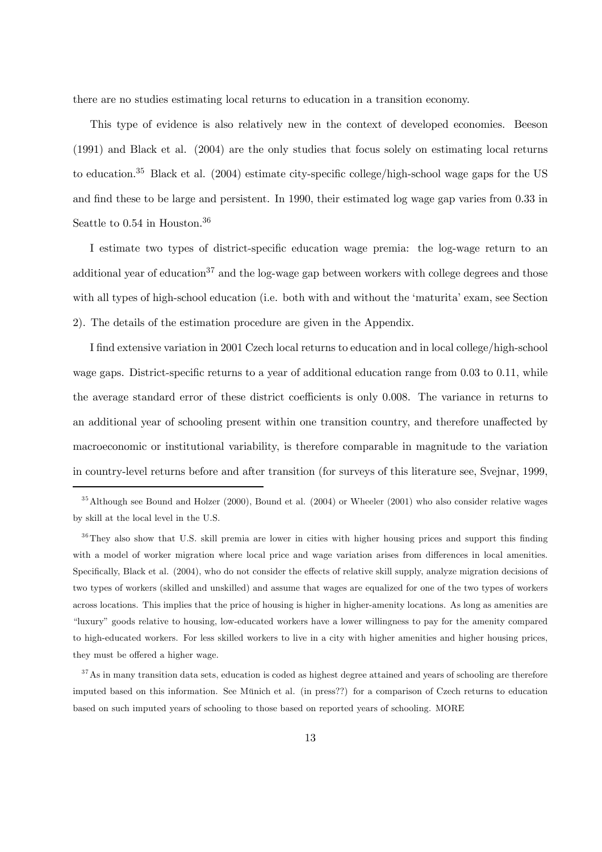there are no studies estimating local returns to education in a transition economy.

This type of evidence is also relatively new in the context of developed economies. Beeson (1991) and Black et al. (2004) are the only studies that focus solely on estimating local returns to education.35 Black et al. (2004) estimate city-specific college/high-school wage gaps for the US and find these to be large and persistent. In 1990, their estimated log wage gap varies from 0.33 in Seattle to 0.54 in Houston.<sup>36</sup>

I estimate two types of district-specific education wage premia: the log-wage return to an additional year of education<sup>37</sup> and the log-wage gap between workers with college degrees and those with all types of high-school education (i.e. both with and without the 'maturita' exam, see Section 2). The details of the estimation procedure are given in the Appendix.

I find extensive variation in 2001 Czech local returns to education and in local college/high-school wage gaps. District-specific returns to a year of additional education range from 0.03 to 0.11, while the average standard error of these district coefficients is only 0.008. The variance in returns to an additional year of schooling present within one transition country, and therefore unaffected by macroeconomic or institutional variability, is therefore comparable in magnitude to the variation in country-level returns before and after transition (for surveys of this literature see, Svejnar, 1999,

<sup>35</sup>Although see Bound and Holzer (2000), Bound et al. (2004) or Wheeler (2001) who also consider relative wages by skill at the local level in the U.S.

<sup>36</sup>They also show that U.S. skill premia are lower in cities with higher housing prices and support this finding with a model of worker migration where local price and wage variation arises from differences in local amenities. Specifically, Black et al. (2004), who do not consider the effects of relative skill supply, analyze migration decisions of two types of workers (skilled and unskilled) and assume that wages are equalized for one of the two types of workers across locations. This implies that the price of housing is higher in higher-amenity locations. As long as amenities are "luxury" goods relative to housing, low-educated workers have a lower willingness to pay for the amenity compared to high-educated workers. For less skilled workers to live in a city with higher amenities and higher housing prices, they must be offered a higher wage.

<sup>37</sup>As in many transition data sets, education is coded as highest degree attained and years of schooling are therefore imputed based on this information. See Münich et al. (in press??) for a comparison of Czech returns to education based on such imputed years of schooling to those based on reported years of schooling. MORE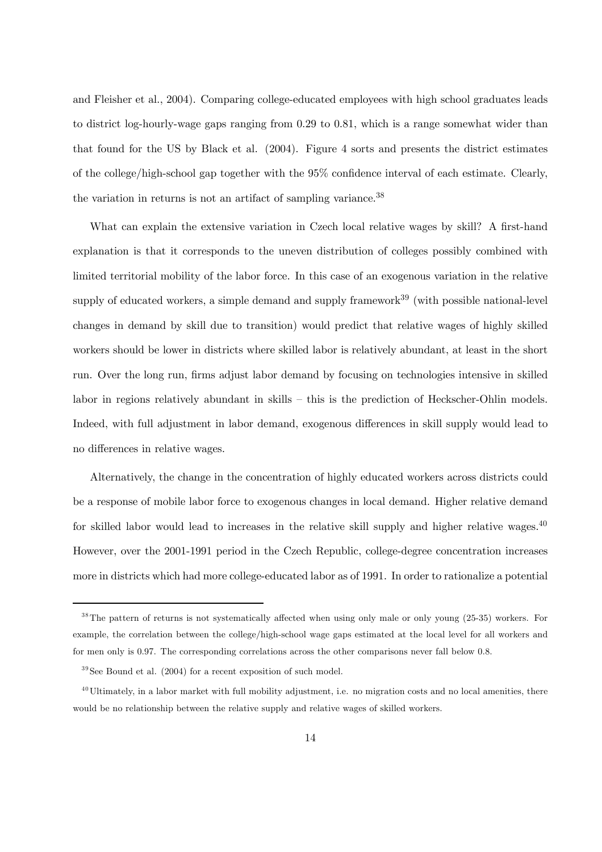and Fleisher et al., 2004). Comparing college-educated employees with high school graduates leads to district log-hourly-wage gaps ranging from 0.29 to 0.81, which is a range somewhat wider than that found for the US by Black et al. (2004). Figure 4 sorts and presents the district estimates of the college/high-school gap together with the 95% confidence interval of each estimate. Clearly, the variation in returns is not an artifact of sampling variance.<sup>38</sup>

What can explain the extensive variation in Czech local relative wages by skill? A first-hand explanation is that it corresponds to the uneven distribution of colleges possibly combined with limited territorial mobility of the labor force. In this case of an exogenous variation in the relative supply of educated workers, a simple demand and supply framework<sup>39</sup> (with possible national-level changes in demand by skill due to transition) would predict that relative wages of highly skilled workers should be lower in districts where skilled labor is relatively abundant, at least in the short run. Over the long run, firms adjust labor demand by focusing on technologies intensive in skilled labor in regions relatively abundant in skills — this is the prediction of Heckscher-Ohlin models. Indeed, with full adjustment in labor demand, exogenous differences in skill supply would lead to no differences in relative wages.

Alternatively, the change in the concentration of highly educated workers across districts could be a response of mobile labor force to exogenous changes in local demand. Higher relative demand for skilled labor would lead to increases in the relative skill supply and higher relative wages.<sup>40</sup> However, over the 2001-1991 period in the Czech Republic, college-degree concentration increases more in districts which had more college-educated labor as of 1991. In order to rationalize a potential

<sup>&</sup>lt;sup>38</sup>The pattern of returns is not systematically affected when using only male or only young (25-35) workers. For example, the correlation between the college/high-school wage gaps estimated at the local level for all workers and for men only is 0.97. The corresponding correlations across the other comparisons never fall below 0.8.

 $39$  See Bound et al. (2004) for a recent exposition of such model.

 $^{40}$ Ultimately, in a labor market with full mobility adjustment, i.e. no migration costs and no local amenities, there would be no relationship between the relative supply and relative wages of skilled workers.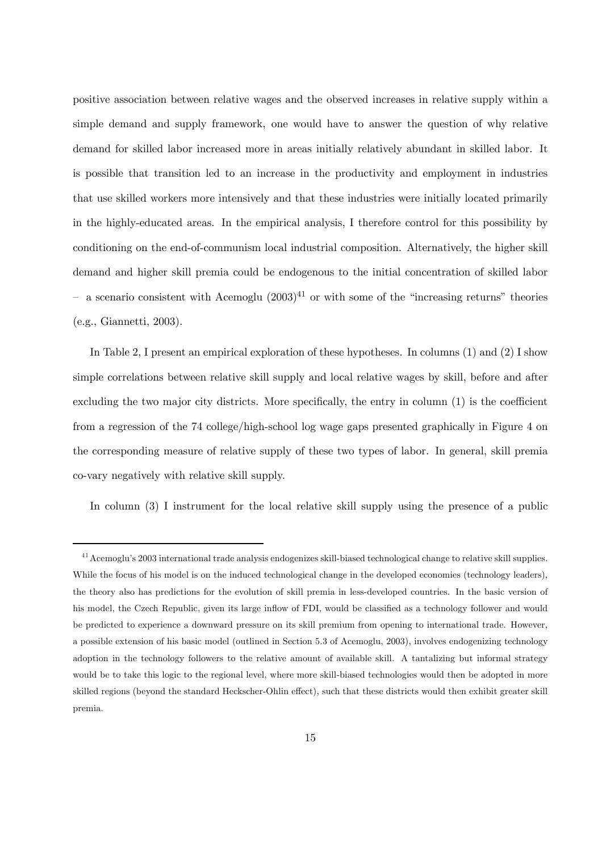positive association between relative wages and the observed increases in relative supply within a simple demand and supply framework, one would have to answer the question of why relative demand for skilled labor increased more in areas initially relatively abundant in skilled labor. It is possible that transition led to an increase in the productivity and employment in industries that use skilled workers more intensively and that these industries were initially located primarily in the highly-educated areas. In the empirical analysis, I therefore control for this possibility by conditioning on the end-of-communism local industrial composition. Alternatively, the higher skill demand and higher skill premia could be endogenous to the initial concentration of skilled labor a scenario consistent with Acemoglu  $(2003)^{41}$  or with some of the "increasing returns" theories (e.g., Giannetti, 2003).

In Table 2, I present an empirical exploration of these hypotheses. In columns (1) and (2) I show simple correlations between relative skill supply and local relative wages by skill, before and after excluding the two major city districts. More specifically, the entry in column (1) is the coefficient from a regression of the 74 college/high-school log wage gaps presented graphically in Figure 4 on the corresponding measure of relative supply of these two types of labor. In general, skill premia co-vary negatively with relative skill supply.

In column (3) I instrument for the local relative skill supply using the presence of a public

<sup>&</sup>lt;sup>41</sup> Acemoglu's 2003 international trade analysis endogenizes skill-biased technological change to relative skill supplies. While the focus of his model is on the induced technological change in the developed economies (technology leaders), the theory also has predictions for the evolution of skill premia in less-developed countries. In the basic version of his model, the Czech Republic, given its large inflow of FDI, would be classified as a technology follower and would be predicted to experience a downward pressure on its skill premium from opening to international trade. However, a possible extension of his basic model (outlined in Section 5.3 of Acemoglu, 2003), involves endogenizing technology adoption in the technology followers to the relative amount of available skill. A tantalizing but informal strategy would be to take this logic to the regional level, where more skill-biased technologies would then be adopted in more skilled regions (beyond the standard Heckscher-Ohlin effect), such that these districts would then exhibit greater skill premia.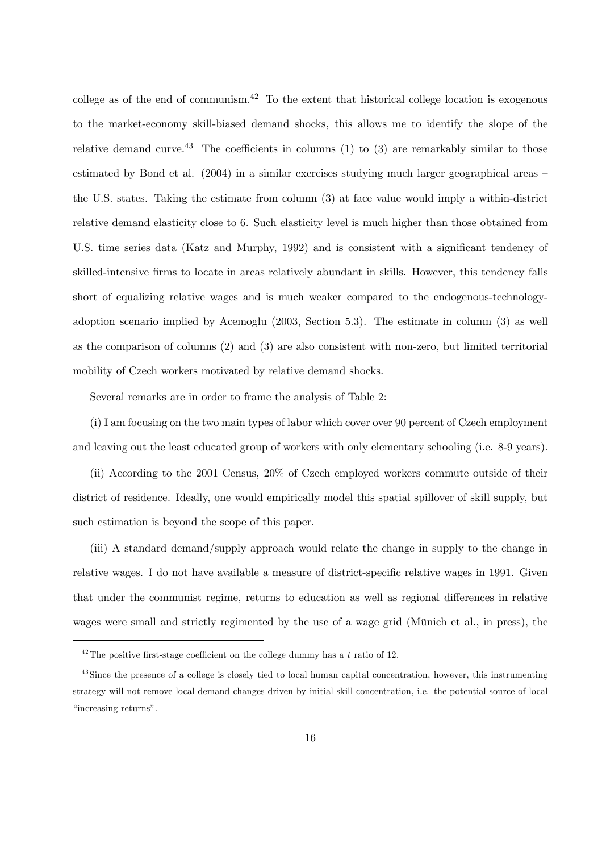college as of the end of communism.<sup>42</sup> To the extent that historical college location is exogenous to the market-economy skill-biased demand shocks, this allows me to identify the slope of the relative demand curve.<sup>43</sup> The coefficients in columns (1) to (3) are remarkably similar to those estimated by Bond et al. (2004) in a similar exercises studying much larger geographical areas – the U.S. states. Taking the estimate from column (3) at face value would imply a within-district relative demand elasticity close to 6. Such elasticity level is much higher than those obtained from U.S. time series data (Katz and Murphy, 1992) and is consistent with a significant tendency of skilled-intensive firms to locate in areas relatively abundant in skills. However, this tendency falls short of equalizing relative wages and is much weaker compared to the endogenous-technologyadoption scenario implied by Acemoglu (2003, Section 5.3). The estimate in column (3) as well as the comparison of columns (2) and (3) are also consistent with non-zero, but limited territorial mobility of Czech workers motivated by relative demand shocks.

Several remarks are in order to frame the analysis of Table 2:

(i) I am focusing on the two main types of labor which cover over 90 percent of Czech employment and leaving out the least educated group of workers with only elementary schooling (i.e. 8-9 years).

(ii) According to the 2001 Census, 20% of Czech employed workers commute outside of their district of residence. Ideally, one would empirically model this spatial spillover of skill supply, but such estimation is beyond the scope of this paper.

(iii) A standard demand/supply approach would relate the change in supply to the change in relative wages. I do not have available a measure of district-specific relative wages in 1991. Given that under the communist regime, returns to education as well as regional differences in relative wages were small and strictly regimented by the use of a wage grid (Münich et al., in press), the

 $42$ The positive first-stage coefficient on the college dummy has a t ratio of 12.

<sup>&</sup>lt;sup>43</sup> Since the presence of a college is closely tied to local human capital concentration, however, this instrumenting strategy will not remove local demand changes driven by initial skill concentration, i.e. the potential source of local "increasing returns".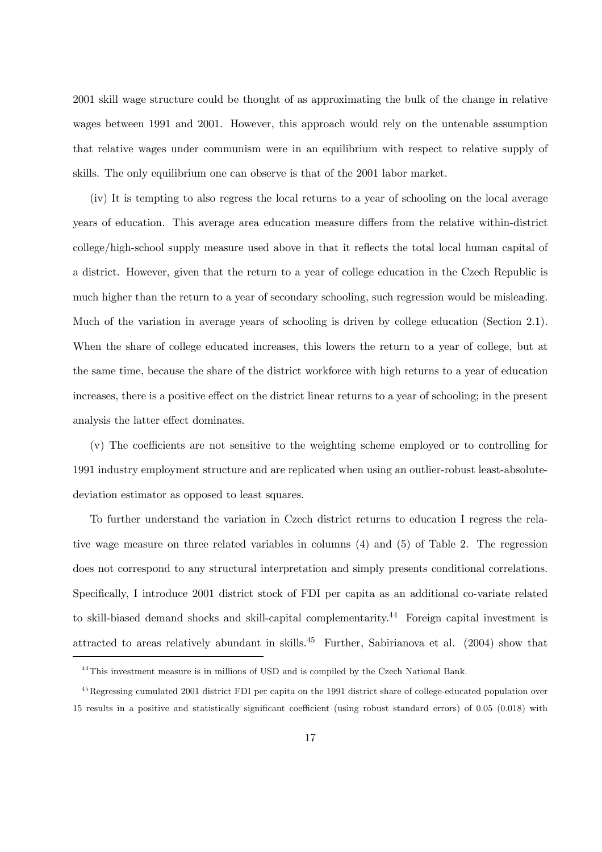2001 skill wage structure could be thought of as approximating the bulk of the change in relative wages between 1991 and 2001. However, this approach would rely on the untenable assumption that relative wages under communism were in an equilibrium with respect to relative supply of skills. The only equilibrium one can observe is that of the 2001 labor market.

(iv) It is tempting to also regress the local returns to a year of schooling on the local average years of education. This average area education measure differs from the relative within-district college/high-school supply measure used above in that it reflects the total local human capital of a district. However, given that the return to a year of college education in the Czech Republic is much higher than the return to a year of secondary schooling, such regression would be misleading. Much of the variation in average years of schooling is driven by college education (Section 2.1). When the share of college educated increases, this lowers the return to a year of college, but at the same time, because the share of the district workforce with high returns to a year of education increases, there is a positive effect on the district linear returns to a year of schooling; in the present analysis the latter effect dominates.

(v) The coefficients are not sensitive to the weighting scheme employed or to controlling for 1991 industry employment structure and are replicated when using an outlier-robust least-absolutedeviation estimator as opposed to least squares.

To further understand the variation in Czech district returns to education I regress the relative wage measure on three related variables in columns (4) and (5) of Table 2. The regression does not correspond to any structural interpretation and simply presents conditional correlations. Specifically, I introduce 2001 district stock of FDI per capita as an additional co-variate related to skill-biased demand shocks and skill-capital complementarity.<sup>44</sup> Foreign capital investment is attracted to areas relatively abundant in skills.45 Further, Sabirianova et al. (2004) show that

<sup>&</sup>lt;sup>44</sup>This investment measure is in millions of USD and is compiled by the Czech National Bank.

<sup>&</sup>lt;sup>45</sup>Regressing cumulated 2001 district FDI per capita on the 1991 district share of college-educated population over 15 results in a positive and statistically significant coefficient (using robust standard errors) of 0.05 (0.018) with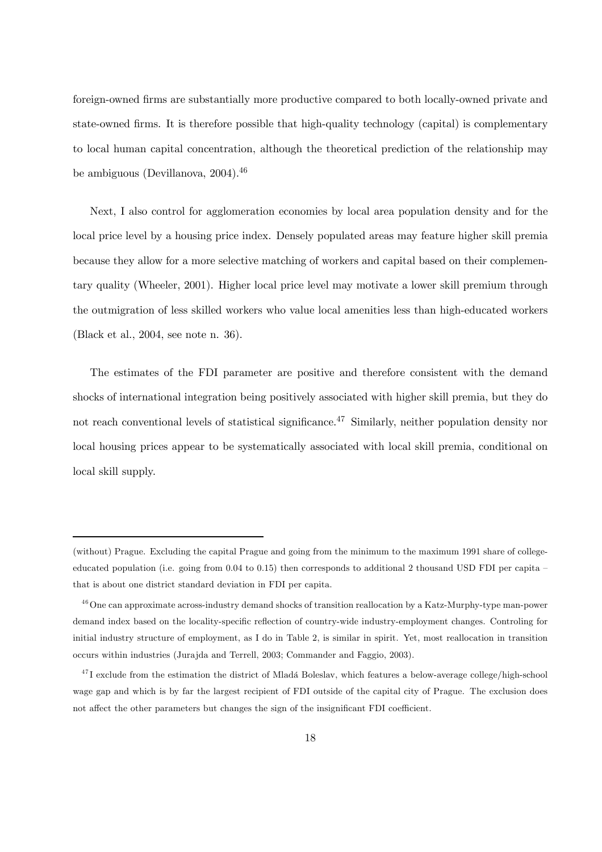foreign-owned firms are substantially more productive compared to both locally-owned private and state-owned firms. It is therefore possible that high-quality technology (capital) is complementary to local human capital concentration, although the theoretical prediction of the relationship may be ambiguous (Devillanova, 2004).<sup>46</sup>

Next, I also control for agglomeration economies by local area population density and for the local price level by a housing price index. Densely populated areas may feature higher skill premia because they allow for a more selective matching of workers and capital based on their complementary quality (Wheeler, 2001). Higher local price level may motivate a lower skill premium through the outmigration of less skilled workers who value local amenities less than high-educated workers (Black et al., 2004, see note n. 36).

The estimates of the FDI parameter are positive and therefore consistent with the demand shocks of international integration being positively associated with higher skill premia, but they do not reach conventional levels of statistical significance.<sup>47</sup> Similarly, neither population density nor local housing prices appear to be systematically associated with local skill premia, conditional on local skill supply.

<sup>(</sup>without) Prague. Excluding the capital Prague and going from the minimum to the maximum 1991 share of collegeeducated population (i.e. going from 0.04 to 0.15) then corresponds to additional 2 thousand USD FDI per capita that is about one district standard deviation in FDI per capita.

<sup>&</sup>lt;sup>46</sup> One can approximate across-industry demand shocks of transition reallocation by a Katz-Murphy-type man-power demand index based on the locality-specific reflection of country-wide industry-employment changes. Controling for initial industry structure of employment, as I do in Table 2, is similar in spirit. Yet, most reallocation in transition occurs within industries (Jurajda and Terrell, 2003; Commander and Faggio, 2003).

 $^{47}$ I exclude from the estimation the district of Mladá Boleslav, which features a below-average college/high-school wage gap and which is by far the largest recipient of FDI outside of the capital city of Prague. The exclusion does not affect the other parameters but changes the sign of the insignificant FDI coefficient.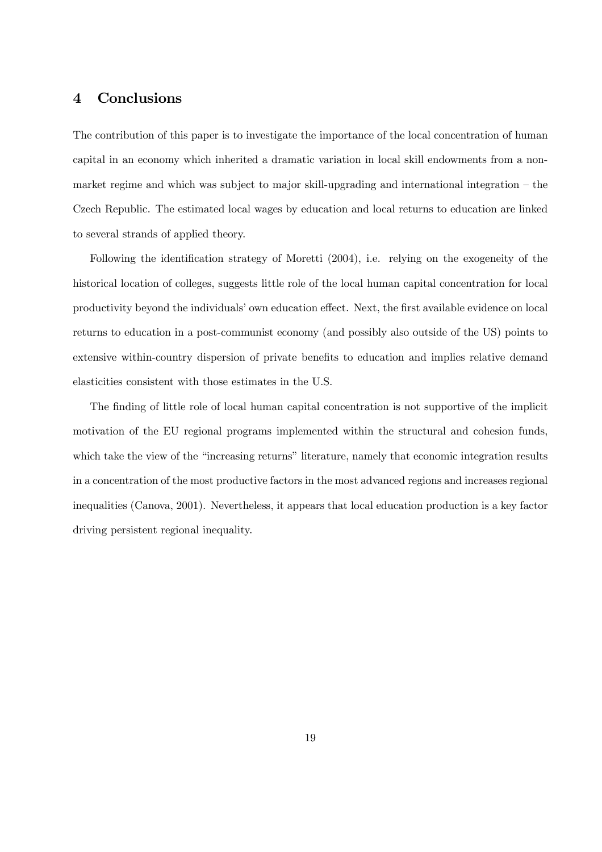### 4 Conclusions

The contribution of this paper is to investigate the importance of the local concentration of human capital in an economy which inherited a dramatic variation in local skill endowments from a nonmarket regime and which was subject to major skill-upgrading and international integration — the Czech Republic. The estimated local wages by education and local returns to education are linked to several strands of applied theory.

Following the identification strategy of Moretti (2004), i.e. relying on the exogeneity of the historical location of colleges, suggests little role of the local human capital concentration for local productivity beyond the individuals' own education effect. Next, the first available evidence on local returns to education in a post-communist economy (and possibly also outside of the US) points to extensive within-country dispersion of private benefits to education and implies relative demand elasticities consistent with those estimates in the U.S.

The finding of little role of local human capital concentration is not supportive of the implicit motivation of the EU regional programs implemented within the structural and cohesion funds, which take the view of the "increasing returns" literature, namely that economic integration results in a concentration of the most productive factors in the most advanced regions and increases regional inequalities (Canova, 2001). Nevertheless, it appears that local education production is a key factor driving persistent regional inequality.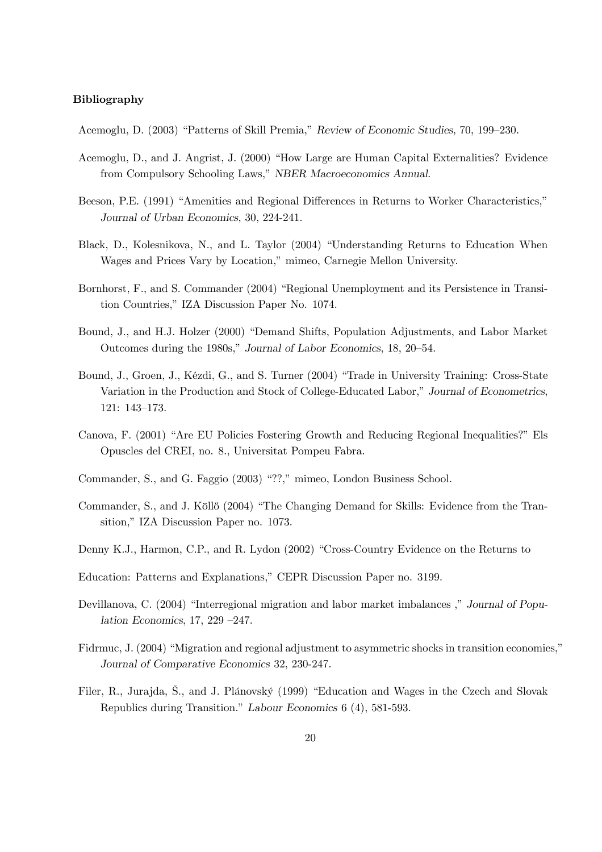#### Bibliography

Acemoglu, D. (2003) "Patterns of Skill Premia," Review of Economic Studies, 70, 199—230.

- Acemoglu, D., and J. Angrist, J. (2000) "How Large are Human Capital Externalities? Evidence from Compulsory Schooling Laws," NBER Macroeconomics Annual.
- Beeson, P.E. (1991) "Amenities and Regional Differences in Returns to Worker Characteristics," Journal of Urban Economics, 30, 224-241.
- Black, D., Kolesnikova, N., and L. Taylor (2004) "Understanding Returns to Education When Wages and Prices Vary by Location," mimeo, Carnegie Mellon University.
- Bornhorst, F., and S. Commander (2004) "Regional Unemployment and its Persistence in Transition Countries," IZA Discussion Paper No. 1074.
- Bound, J., and H.J. Holzer (2000) "Demand Shifts, Population Adjustments, and Labor Market Outcomes during the 1980s," Journal of Labor Economics, 18, 20—54.
- Bound, J., Groen, J., Kézdi, G., and S. Turner (2004) "Trade in University Training: Cross-State Variation in the Production and Stock of College-Educated Labor," Journal of Econometrics, 121: 143—173.
- Canova, F. (2001) "Are EU Policies Fostering Growth and Reducing Regional Inequalities?" Els Opuscles del CREI, no. 8., Universitat Pompeu Fabra.
- Commander, S., and G. Faggio (2003) "??," mimeo, London Business School.
- Commander, S., and J. Köllő (2004) "The Changing Demand for Skills: Evidence from the Transition," IZA Discussion Paper no. 1073.
- Denny K.J., Harmon, C.P., and R. Lydon (2002) "Cross-Country Evidence on the Returns to
- Education: Patterns and Explanations," CEPR Discussion Paper no. 3199.
- Devillanova, C. (2004) "Interregional migration and labor market imbalances ," Journal of Population Economics, 17, 229 —247.
- Fidrmuc, J. (2004) "Migration and regional adjustment to asymmetric shocks in transition economies," Journal of Comparative Economics 32, 230-247.
- Filer, R., Jurajda, Š., and J. Plánovský (1999) "Education and Wages in the Czech and Slovak Republics during Transition." Labour Economics 6 (4), 581-593.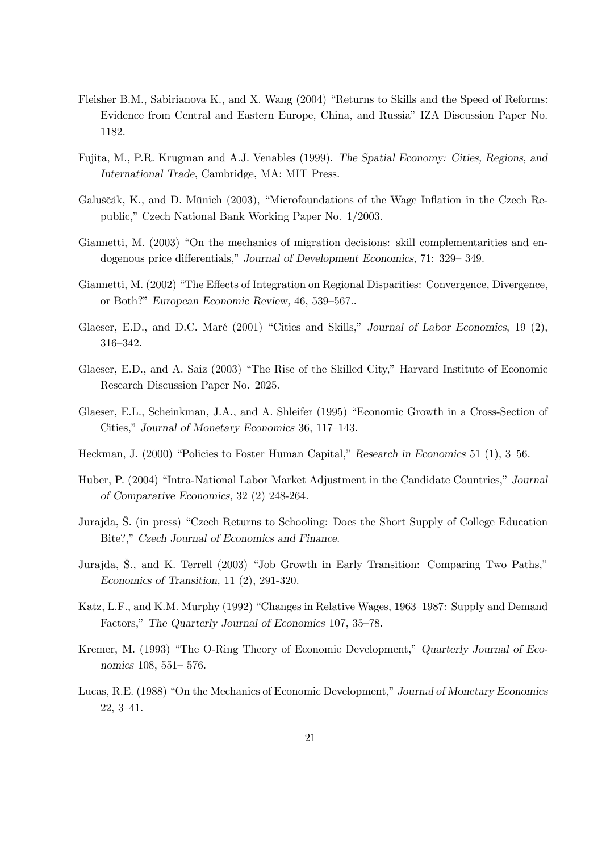- Fleisher B.M., Sabirianova K., and X. Wang (2004) "Returns to Skills and the Speed of Reforms: Evidence from Central and Eastern Europe, China, and Russia" IZA Discussion Paper No. 1182.
- Fujita, M., P.R. Krugman and A.J. Venables (1999). The Spatial Economy: Cities, Regions, and International Trade, Cambridge, MA: MIT Press.
- Galuščák, K., and D. Münich (2003), "Microfoundations of the Wage Inflation in the Czech Republic," Czech National Bank Working Paper No. 1/2003.
- Giannetti, M. (2003) "On the mechanics of migration decisions: skill complementarities and endogenous price differentials," Journal of Development Economics, 71: 329— 349.
- Giannetti, M. (2002) "The Effects of Integration on Regional Disparities: Convergence, Divergence, or Both?" European Economic Review, 46, 539—567..
- Glaeser, E.D., and D.C. Maré (2001) "Cities and Skills," Journal of Labor Economics, 19 (2), 316—342.
- Glaeser, E.D., and A. Saiz (2003) "The Rise of the Skilled City," Harvard Institute of Economic Research Discussion Paper No. 2025.
- Glaeser, E.L., Scheinkman, J.A., and A. Shleifer (1995) "Economic Growth in a Cross-Section of Cities," Journal of Monetary Economics 36, 117—143.
- Heckman, J. (2000) "Policies to Foster Human Capital," Research in Economics 51 (1), 3—56.
- Huber, P. (2004) "Intra-National Labor Market Adjustment in the Candidate Countries," Journal of Comparative Economics, 32 (2) 248-264.
- Jurajda, Š. (in press) "Czech Returns to Schooling: Does the Short Supply of College Education Bite?," Czech Journal of Economics and Finance.
- Jurajda, Š., and K. Terrell (2003) "Job Growth in Early Transition: Comparing Two Paths," Economics of Transition, 11 (2), 291-320.
- Katz, L.F., and K.M. Murphy (1992) "Changes in Relative Wages, 1963—1987: Supply and Demand Factors," The Quarterly Journal of Economics 107, 35—78.
- Kremer, M. (1993) "The O-Ring Theory of Economic Development," Quarterly Journal of Economics 108, 551— 576.
- Lucas, R.E. (1988) "On the Mechanics of Economic Development," Journal of Monetary Economics 22, 3—41.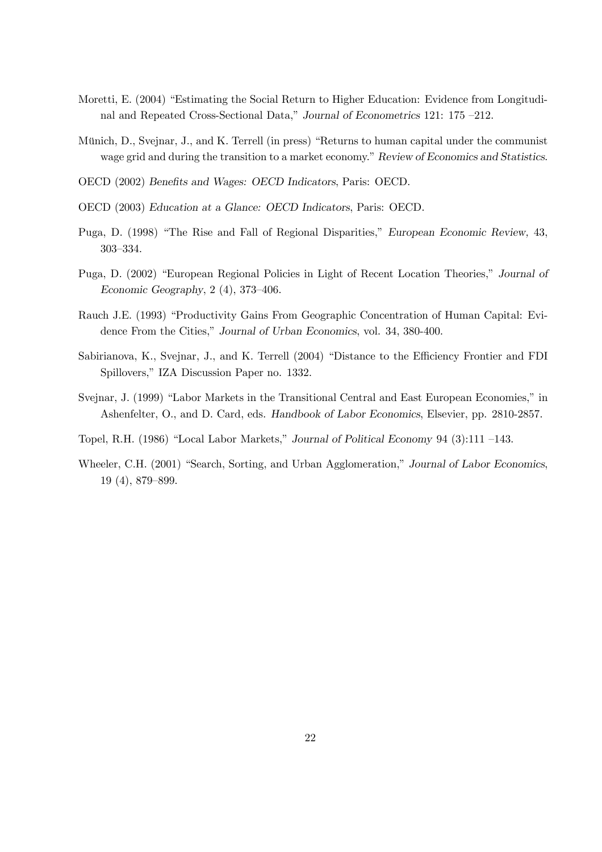- Moretti, E. (2004) "Estimating the Social Return to Higher Education: Evidence from Longitudinal and Repeated Cross-Sectional Data," Journal of Econometrics 121: 175 —212.
- Münich, D., Svejnar, J., and K. Terrell (in press) "Returns to human capital under the communist wage grid and during the transition to a market economy." Review of Economics and Statistics.
- OECD (2002) Benefits and Wages: OECD Indicators, Paris: OECD.
- OECD (2003) Education at a Glance: OECD Indicators, Paris: OECD.
- Puga, D. (1998) "The Rise and Fall of Regional Disparities," European Economic Review, 43, 303—334.
- Puga, D. (2002) "European Regional Policies in Light of Recent Location Theories," Journal of Economic Geography, 2 (4), 373—406.
- Rauch J.E. (1993) "Productivity Gains From Geographic Concentration of Human Capital: Evidence From the Cities," Journal of Urban Economics, vol. 34, 380-400.
- Sabirianova, K., Svejnar, J., and K. Terrell (2004) "Distance to the Efficiency Frontier and FDI Spillovers," IZA Discussion Paper no. 1332.
- Svejnar, J. (1999) "Labor Markets in the Transitional Central and East European Economies," in Ashenfelter, O., and D. Card, eds. Handbook of Labor Economics, Elsevier, pp. 2810-2857.
- Topel, R.H. (1986) "Local Labor Markets," Journal of Political Economy 94 (3):111 —143.
- Wheeler, C.H. (2001) "Search, Sorting, and Urban Agglomeration," Journal of Labor Economics, 19 (4), 879—899.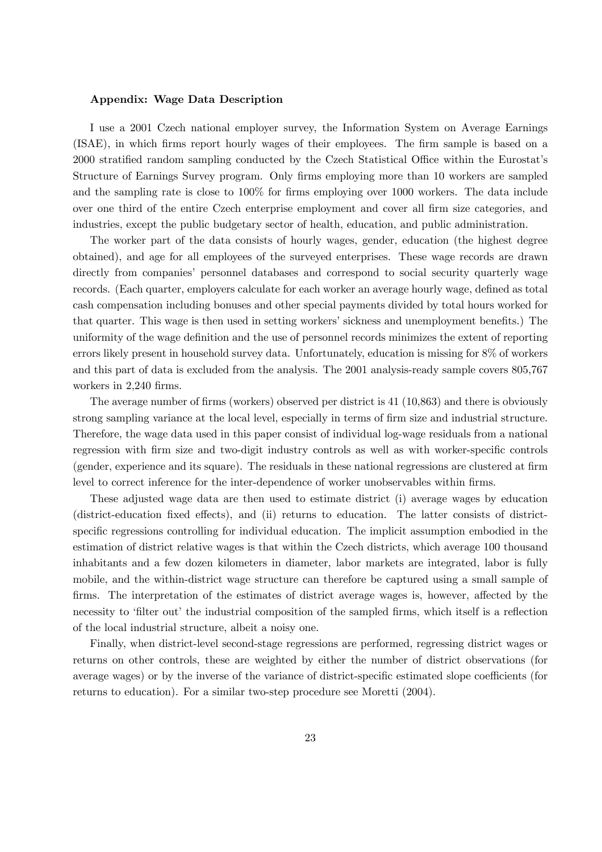#### Appendix: Wage Data Description

I use a 2001 Czech national employer survey, the Information System on Average Earnings (ISAE), in which firms report hourly wages of their employees. The firm sample is based on a 2000 stratified random sampling conducted by the Czech Statistical Office within the Eurostat's Structure of Earnings Survey program. Only firms employing more than 10 workers are sampled and the sampling rate is close to 100% for firms employing over 1000 workers. The data include over one third of the entire Czech enterprise employment and cover all firm size categories, and industries, except the public budgetary sector of health, education, and public administration.

The worker part of the data consists of hourly wages, gender, education (the highest degree obtained), and age for all employees of the surveyed enterprises. These wage records are drawn directly from companies' personnel databases and correspond to social security quarterly wage records. (Each quarter, employers calculate for each worker an average hourly wage, defined as total cash compensation including bonuses and other special payments divided by total hours worked for that quarter. This wage is then used in setting workers' sickness and unemployment benefits.) The uniformity of the wage definition and the use of personnel records minimizes the extent of reporting errors likely present in household survey data. Unfortunately, education is missing for 8% of workers and this part of data is excluded from the analysis. The 2001 analysis-ready sample covers 805,767 workers in 2,240 firms.

The average number of firms (workers) observed per district is 41 (10,863) and there is obviously strong sampling variance at the local level, especially in terms of firm size and industrial structure. Therefore, the wage data used in this paper consist of individual log-wage residuals from a national regression with firm size and two-digit industry controls as well as with worker-specific controls (gender, experience and its square). The residuals in these national regressions are clustered at firm level to correct inference for the inter-dependence of worker unobservables within firms.

These adjusted wage data are then used to estimate district (i) average wages by education (district-education fixed effects), and (ii) returns to education. The latter consists of districtspecific regressions controlling for individual education. The implicit assumption embodied in the estimation of district relative wages is that within the Czech districts, which average 100 thousand inhabitants and a few dozen kilometers in diameter, labor markets are integrated, labor is fully mobile, and the within-district wage structure can therefore be captured using a small sample of firms. The interpretation of the estimates of district average wages is, however, affected by the necessity to 'filter out' the industrial composition of the sampled firms, which itself is a reflection of the local industrial structure, albeit a noisy one.

Finally, when district-level second-stage regressions are performed, regressing district wages or returns on other controls, these are weighted by either the number of district observations (for average wages) or by the inverse of the variance of district-specific estimated slope coefficients (for returns to education). For a similar two-step procedure see Moretti (2004).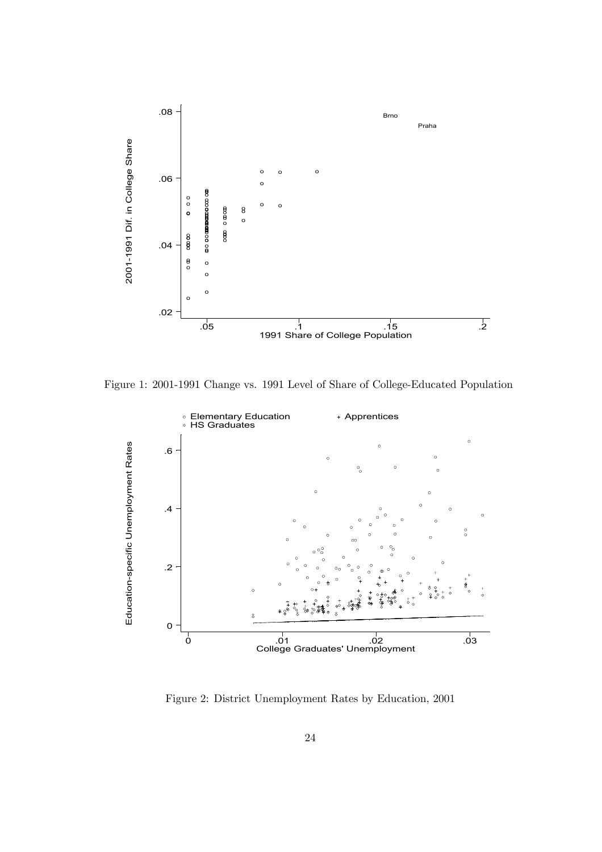

Figure 1: 2001-1991 Change vs. 1991 Level of Share of College-Educated Population



Figure 2: District Unemployment Rates by Education, 2001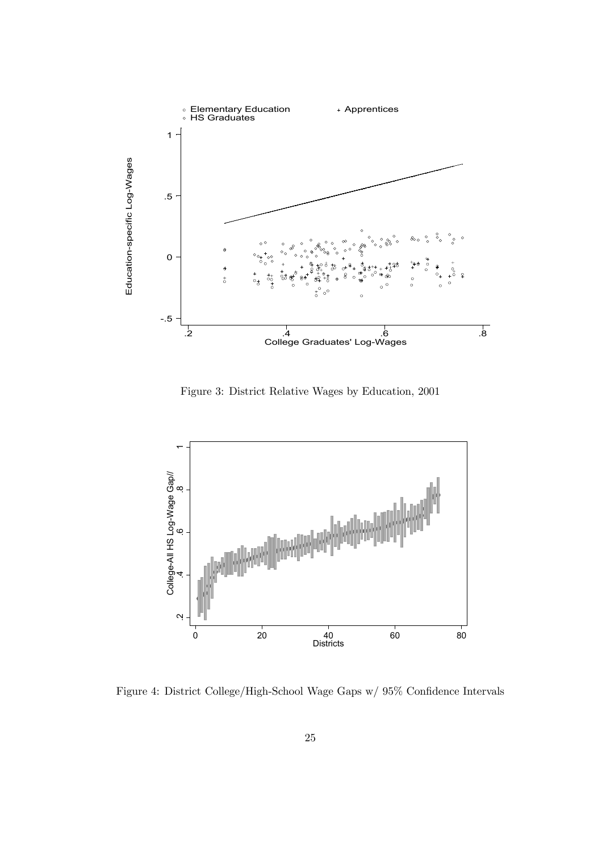

Figure 3: District Relative Wages by Education, 2001



Figure 4: District College/High-School Wage Gaps w/ 95% Confidence Intervals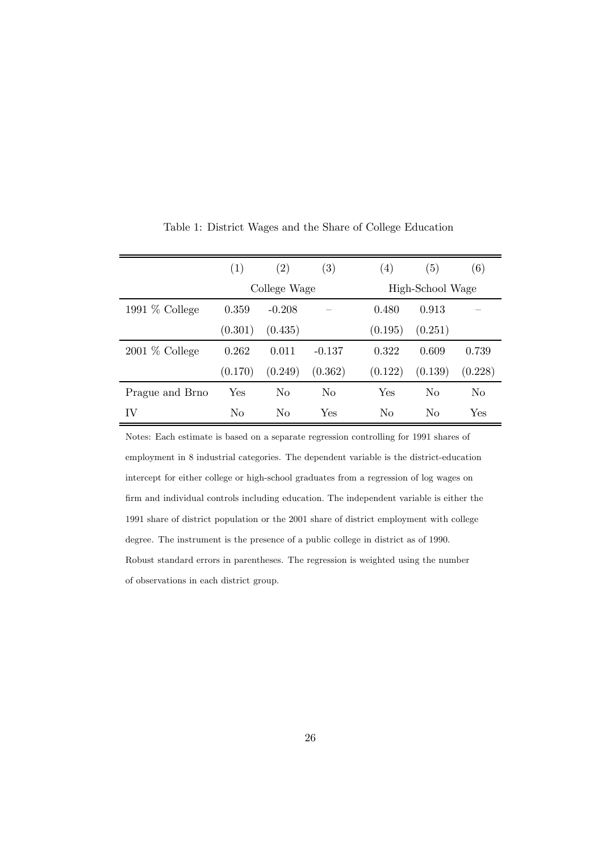|                  | (1)            | (2)            | (3)            | $\left( 4\right)$ | (5)              | (6)            |  |  |
|------------------|----------------|----------------|----------------|-------------------|------------------|----------------|--|--|
|                  |                | College Wage   |                |                   | High-School Wage |                |  |  |
| 1991 $%$ College | 0.359          | $-0.208$       |                | 0.480             | 0.913            |                |  |  |
|                  | (0.301)        | (0.435)        |                | (0.195)           | (0.251)          |                |  |  |
| $2001\%$ College | 0.262          | 0.011          | $-0.137$       | 0.322             | 0.609            | 0.739          |  |  |
|                  | (0.170)        | (0.249)        | (0.362)        | (0.122)           | (0.139)          | (0.228)        |  |  |
| Prague and Brno  | Yes            | N <sub>0</sub> | N <sub>0</sub> | Yes               | N <sub>0</sub>   | N <sub>o</sub> |  |  |
| IV               | N <sub>0</sub> | No             | Yes            | N <sub>0</sub>    | $\rm No$         | Yes            |  |  |

Table 1: District Wages and the Share of College Education

Notes: Each estimate is based on a separate regression controlling for 1991 shares of employment in 8 industrial categories. The dependent variable is the district-education intercept for either college or high-school graduates from a regression of log wages on firm and individual controls including education. The independent variable is either the 1991 share of district population or the 2001 share of district employment with college degree. The instrument is the presence of a public college in district as of 1990. Robust standard errors in parentheses. The regression is weighted using the number of observations in each district group.